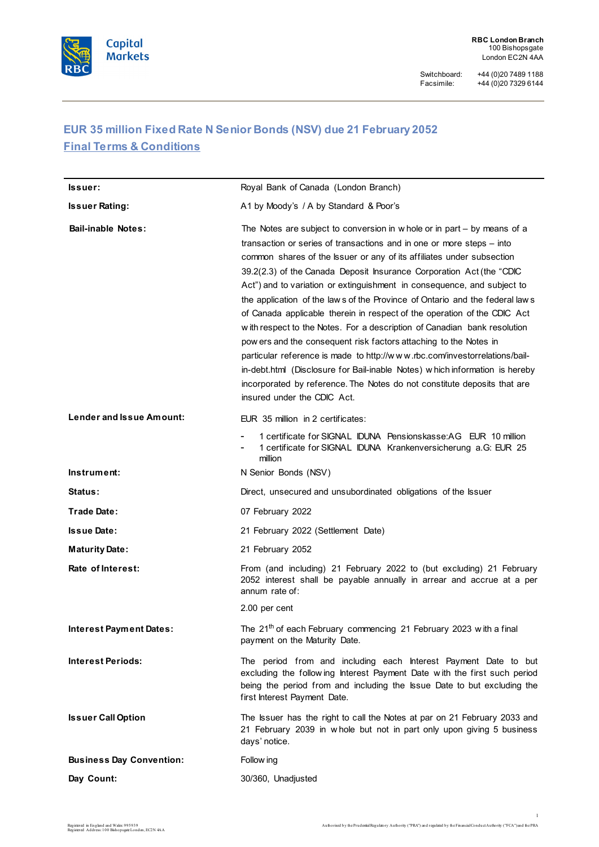

# **EUR 35 million Fixed Rate N Senior Bonds (NSV) due 21 February 2052 Final Terms & Conditions**

| lssuer:                         | Royal Bank of Canada (London Branch)                                                                                                                                                                                                                                                                                                                                                                                                                                                                                                                                                                                                                                                                                                                                                                                                                                                                                                                                 |
|---------------------------------|----------------------------------------------------------------------------------------------------------------------------------------------------------------------------------------------------------------------------------------------------------------------------------------------------------------------------------------------------------------------------------------------------------------------------------------------------------------------------------------------------------------------------------------------------------------------------------------------------------------------------------------------------------------------------------------------------------------------------------------------------------------------------------------------------------------------------------------------------------------------------------------------------------------------------------------------------------------------|
| <b>Issuer Rating:</b>           | A1 by Moody's / A by Standard & Poor's                                                                                                                                                                                                                                                                                                                                                                                                                                                                                                                                                                                                                                                                                                                                                                                                                                                                                                                               |
| <b>Bail-inable Notes:</b>       | The Notes are subject to conversion in w hole or in part $-$ by means of a<br>transaction or series of transactions and in one or more steps – into<br>common shares of the Issuer or any of its affiliates under subsection<br>39.2(2.3) of the Canada Deposit Insurance Corporation Act (the "CDIC<br>Act") and to variation or extinguishment in consequence, and subject to<br>the application of the laws of the Province of Ontario and the federal laws<br>of Canada applicable therein in respect of the operation of the CDIC Act<br>with respect to the Notes. For a description of Canadian bank resolution<br>pow ers and the consequent risk factors attaching to the Notes in<br>particular reference is made to http://www.rbc.com/investorrelations/bail-<br>in-debt.html (Disclosure for Bail-inable Notes) w hich information is hereby<br>incorporated by reference. The Notes do not constitute deposits that are<br>insured under the CDIC Act. |
| <b>Lender and Issue Amount:</b> | EUR 35 million in 2 certificates:                                                                                                                                                                                                                                                                                                                                                                                                                                                                                                                                                                                                                                                                                                                                                                                                                                                                                                                                    |
| Instrument:                     | 1 certificate for SIGNAL IDUNA Pensionskasse: AG EUR 10 million<br>1 certificate for SIGNAL IDUNA Krankenversicherung a.G: EUR 25<br>million<br>N Senior Bonds (NSV)                                                                                                                                                                                                                                                                                                                                                                                                                                                                                                                                                                                                                                                                                                                                                                                                 |
|                                 |                                                                                                                                                                                                                                                                                                                                                                                                                                                                                                                                                                                                                                                                                                                                                                                                                                                                                                                                                                      |
| <b>Status:</b>                  | Direct, unsecured and unsubordinated obligations of the Issuer                                                                                                                                                                                                                                                                                                                                                                                                                                                                                                                                                                                                                                                                                                                                                                                                                                                                                                       |
| <b>Trade Date:</b>              | 07 February 2022                                                                                                                                                                                                                                                                                                                                                                                                                                                                                                                                                                                                                                                                                                                                                                                                                                                                                                                                                     |
| <b>Issue Date:</b>              |                                                                                                                                                                                                                                                                                                                                                                                                                                                                                                                                                                                                                                                                                                                                                                                                                                                                                                                                                                      |
|                                 | 21 February 2022 (Settlement Date)                                                                                                                                                                                                                                                                                                                                                                                                                                                                                                                                                                                                                                                                                                                                                                                                                                                                                                                                   |
| <b>Maturity Date:</b>           | 21 February 2052                                                                                                                                                                                                                                                                                                                                                                                                                                                                                                                                                                                                                                                                                                                                                                                                                                                                                                                                                     |
| Rate of Interest:               | From (and including) 21 February 2022 to (but excluding) 21 February<br>2052 interest shall be payable annually in arrear and accrue at a per<br>annum rate of:                                                                                                                                                                                                                                                                                                                                                                                                                                                                                                                                                                                                                                                                                                                                                                                                      |
|                                 | 2.00 per cent                                                                                                                                                                                                                                                                                                                                                                                                                                                                                                                                                                                                                                                                                                                                                                                                                                                                                                                                                        |
| Interest Payment Dates:         | The 21 <sup>th</sup> of each February commencing 21 February 2023 with a final<br>payment on the Maturity Date.                                                                                                                                                                                                                                                                                                                                                                                                                                                                                                                                                                                                                                                                                                                                                                                                                                                      |
| <b>Interest Periods:</b>        | The period from and including each Interest Payment Date to but<br>excluding the following Interest Payment Date with the first such period<br>being the period from and including the Issue Date to but excluding the<br>first Interest Payment Date.                                                                                                                                                                                                                                                                                                                                                                                                                                                                                                                                                                                                                                                                                                               |
| <b>Issuer Call Option</b>       | The Issuer has the right to call the Notes at par on 21 February 2033 and<br>21 February 2039 in whole but not in part only upon giving 5 business<br>days' notice.                                                                                                                                                                                                                                                                                                                                                                                                                                                                                                                                                                                                                                                                                                                                                                                                  |
| <b>Business Day Convention:</b> | Follow ing                                                                                                                                                                                                                                                                                                                                                                                                                                                                                                                                                                                                                                                                                                                                                                                                                                                                                                                                                           |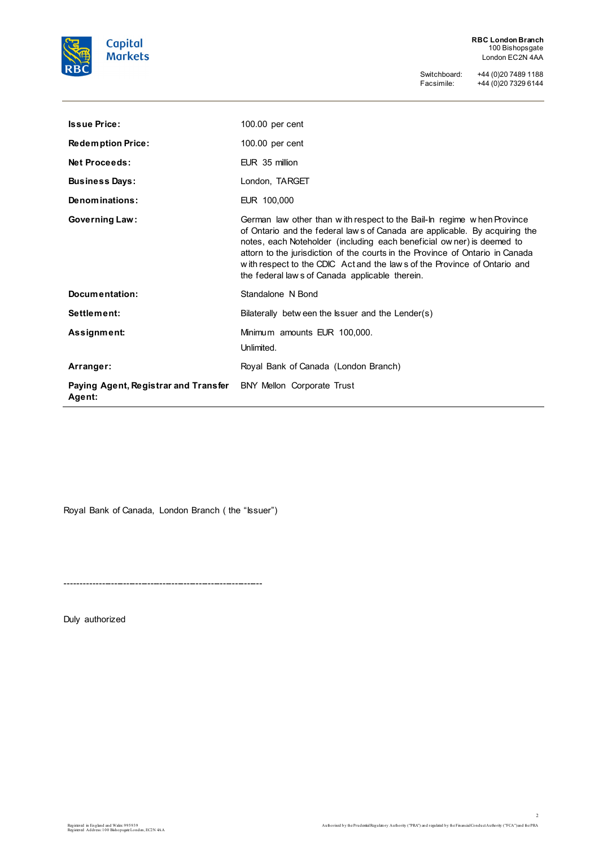

**RBC London Branch** 100 Bishopsgate London EC2N 4AA

Switchboard: +44 (0)20 7489 1188 Facsimile: +44 (0)20 7329 6144

| <b>Issue Price:</b>                            | $100.00$ per cent                                                                                                                                                                                                                                                                                                                                                                                                                             |
|------------------------------------------------|-----------------------------------------------------------------------------------------------------------------------------------------------------------------------------------------------------------------------------------------------------------------------------------------------------------------------------------------------------------------------------------------------------------------------------------------------|
| <b>Redemption Price:</b>                       | $100.00$ per cent                                                                                                                                                                                                                                                                                                                                                                                                                             |
| <b>Net Proceeds:</b>                           | EUR 35 million                                                                                                                                                                                                                                                                                                                                                                                                                                |
| <b>Business Days:</b>                          | London, TARGET                                                                                                                                                                                                                                                                                                                                                                                                                                |
| Denominations:                                 | EUR 100,000                                                                                                                                                                                                                                                                                                                                                                                                                                   |
| <b>Governing Law:</b>                          | German law other than with respect to the Bail-In regime when Province<br>of Ontario and the federal laws of Canada are applicable. By acquiring the<br>notes, each Noteholder (including each beneficial owner) is deemed to<br>attorn to the jurisdiction of the courts in the Province of Ontario in Canada<br>with respect to the CDIC Act and the laws of the Province of Ontario and<br>the federal law s of Canada applicable therein. |
| Documentation:                                 | Standalone N Bond                                                                                                                                                                                                                                                                                                                                                                                                                             |
| Settlement:                                    | Bilaterally between the Issuer and the Lender(s)                                                                                                                                                                                                                                                                                                                                                                                              |
| Assignment:                                    | Minimum amounts EUR 100,000.<br>Unlimited.                                                                                                                                                                                                                                                                                                                                                                                                    |
| Arranger:                                      | Royal Bank of Canada (London Branch)                                                                                                                                                                                                                                                                                                                                                                                                          |
| Paying Agent, Registrar and Transfer<br>Agent: | BNY Mellon Corporate Trust                                                                                                                                                                                                                                                                                                                                                                                                                    |

Royal Bank of Canada, London Branch (the "Issuer")

-----------------------------------------------------------------

Duly authorized

 $\blacksquare$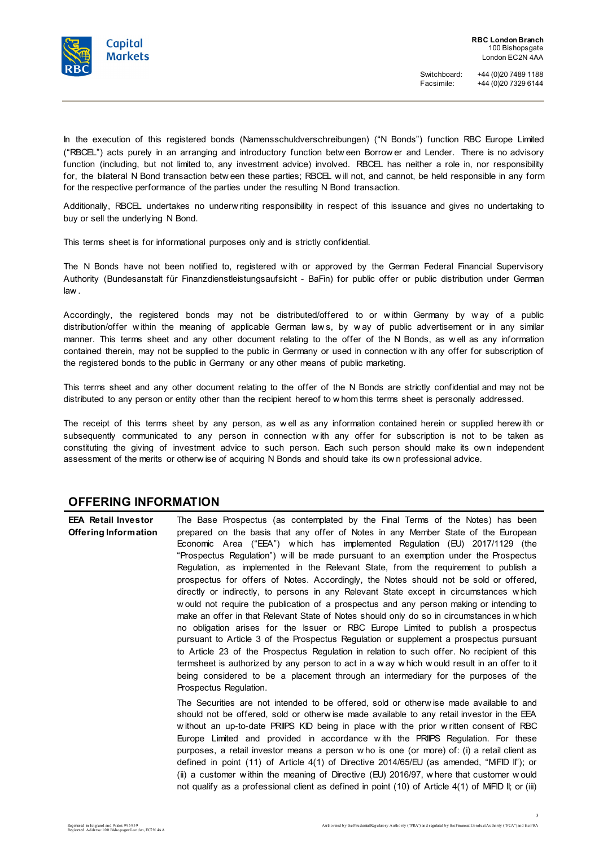

In the execution of this registered bonds (Namensschuldverschreibungen) ("N Bonds") function RBC Europe Limited ("RBCEL") acts purely in an arranging and introductory function betw een Borrow er and Lender. There is no advisory function (including, but not limited to, any investment advice) involved. RBCEL has neither a role in, nor responsibility for, the bilateral N Bond transaction betw een these parties; RBCEL w ill not, and cannot, be held responsible in any form for the respective performance of the parties under the resulting N Bond transaction.

Additionally, RBCEL undertakes no underw riting responsibility in respect of this issuance and gives no undertaking to buy or sell the underlying N Bond.

This terms sheet is for informational purposes only and is strictly confidential.

The N Bonds have not been notified to, registered w ith or approved by the German Federal Financial Supervisory Authority (Bundesanstalt für Finanzdienstleistungsaufsicht - BaFin) for public offer or public distribution under German law .

Accordingly, the registered bonds may not be distributed/offered to or within Germany by way of a public distribution/offer w ithin the meaning of applicable German law s, by w ay of public advertisement or in any similar manner. This terms sheet and any other document relating to the offer of the N Bonds, as w ell as any information contained therein, may not be supplied to the public in Germany or used in connection w ith any offer for subscription of the registered bonds to the public in Germany or any other means of public marketing.

This terms sheet and any other document relating to the offer of the N Bonds are strictly confidential and may not be distributed to any person or entity other than the recipient hereof to w hom this terms sheet is personally addressed.

The receipt of this terms sheet by any person, as w ell as any information contained herein or supplied herew ith or subsequently communicated to any person in connection w ith any offer for subscription is not to be taken as constituting the giving of investment advice to such person. Each such person should make its ow n independent assessment of the merits or otherw ise of acquiring N Bonds and should take its ow n professional advice.

### **OFFERING INFORMATION**

| <b>EEA Retail Investor</b> | The Base Prospectus (as contemplated by the Final Terms of the Notes) has been                                                                                  |
|----------------------------|-----------------------------------------------------------------------------------------------------------------------------------------------------------------|
| Offering Information       | prepared on the basis that any offer of Notes in any Member State of the European<br>Economic Area ("EEA") which has implemented Regulation (EU) 2017/1129 (the |
|                            | "Prospectus Regulation") will be made pursuant to an exemption under the Prospectus                                                                             |
|                            | Regulation, as implemented in the Relevant State, from the requirement to publish a                                                                             |
|                            | prospectus for offers of Notes. Accordingly, the Notes should not be sold or offered,                                                                           |
|                            | directly or indirectly, to persons in any Relevant State except in circumstances which                                                                          |
|                            | w ould not require the publication of a prospectus and any person making or intending to                                                                        |
|                            | make an offer in that Relevant State of Notes should only do so in circumstances in which                                                                       |
|                            | no obligation arises for the Issuer or RBC Europe Limited to publish a prospectus                                                                               |
|                            | pursuant to Article 3 of the Prospectus Regulation or supplement a prospectus pursuant                                                                          |
|                            | to Article 23 of the Prospectus Regulation in relation to such offer. No recipient of this                                                                      |
|                            | termsheet is authorized by any person to act in a way which would result in an offer to it                                                                      |
|                            | being considered to be a placement through an intermediary for the purposes of the                                                                              |
|                            | Prospectus Regulation.                                                                                                                                          |
|                            | The Securities are not intended to be offered, sold or otherwise made available to and                                                                          |
|                            | should not be offered, sold or otherwise made available to any retail investor in the EEA                                                                       |
|                            | without an up-to-date PRIIPS KID being in place with the prior written consent of RBC                                                                           |
|                            | Europe Limited and provided in accordance with the PRIIPS Regulation. For these                                                                                 |
|                            | purposes, a retail investor means a person who is one (or more) of: (i) a retail client as                                                                      |
|                            | defined in point (11) of Article $4(1)$ of Directive 2014/65/EU (as amended, "MiFID II"); or                                                                    |
|                            | (ii) a customer within the meaning of Directive (EU) 2016/97, where that customer would                                                                         |
|                            | not qualify as a professional client as defined in point (10) of Article 4(1) of MiFID II; or (iii)                                                             |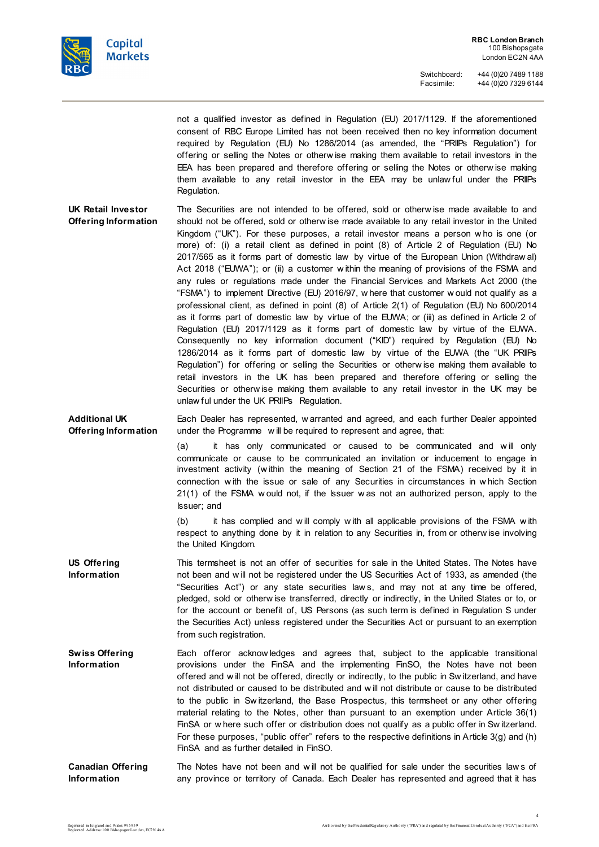

not a qualified investor as defined in Regulation (EU) 2017/1129. If the aforementioned consent of RBC Europe Limited has not been received then no key information document required by Regulation (EU) No 1286/2014 (as amended, the "PRIIPs Regulation") for offering or selling the Notes or otherw ise making them available to retail investors in the EEA has been prepared and therefore offering or selling the Notes or otherw ise making them available to any retail investor in the EEA may be unlaw ful under the PRIIPs Regulation.

**UK Retail Investor Offering Information** The Securities are not intended to be offered, sold or otherw ise made available to and should not be offered, sold or otherw ise made available to any retail investor in the United Kingdom ("UK"). For these purposes, a retail investor means a person w ho is one (or more) of: (i) a retail client as defined in point (8) of Article 2 of Regulation (EU) No 2017/565 as it forms part of domestic law by virtue of the European Union (Withdraw al) Act 2018 ("EUWA"); or (ii) a customer within the meaning of provisions of the FSMA and any rules or regulations made under the Financial Services and Markets Act 2000 (the "FSMA") to implement Directive (EU) 2016/97, w here that customer w ould not qualify as a professional client, as defined in point (8) of Article 2(1) of Regulation (EU) No 600/2014 as it forms part of domestic law by virtue of the EUWA; or (iii) as defined in Article 2 of Regulation (EU) 2017/1129 as it forms part of domestic law by virtue of the EUWA. Consequently no key information document ("KID") required by Regulation (EU) No 1286/2014 as it forms part of domestic law by virtue of the EUWA (the "UK PRIIPs Regulation") for offering or selling the Securities or otherw ise making them available to retail investors in the UK has been prepared and therefore offering or selling the Securities or otherw ise making them available to any retail investor in the UK may be unlaw ful under the UK PRIIPs Regulation.

**Additional UK Offering Information** Each Dealer has represented, w arranted and agreed, and each further Dealer appointed under the Programme w ill be required to represent and agree, that:

> (a) it has only communicated or caused to be communicated and w ill only communicate or cause to be communicated an invitation or inducement to engage in investment activity (w ithin the meaning of Section 21 of the FSMA) received by it in connection w ith the issue or sale of any Securities in circumstances in w hich Section 21(1) of the FSMA w ould not, if the Issuer w as not an authorized person, apply to the Issuer; and

> (b) it has complied and w ill comply w ith all applicable provisions of the FSMA w ith respect to anything done by it in relation to any Securities in, from or otherw ise involving the United Kingdom.

- **US Offering Information** This termsheet is not an offer of securities for sale in the United States. The Notes have not been and w ill not be registered under the US Securities Act of 1933, as amended (the "Securities Act") or any state securities law s, and may not at any time be offered, pledged, sold or otherw ise transferred, directly or indirectly, in the United States or to, or for the account or benefit of, US Persons (as such term is defined in Regulation S under the Securities Act) unless registered under the Securities Act or pursuant to an exemption from such registration.
- **Swiss Offering Information** Each offeror acknow ledges and agrees that, subject to the applicable transitional provisions under the FinSA and the implementing FinSO, the Notes have not been offered and w ill not be offered, directly or indirectly, to the public in Sw itzerland, and have not distributed or caused to be distributed and w ill not distribute or cause to be distributed to the public in Sw itzerland, the Base Prospectus, this termsheet or any other offering material relating to the Notes, other than pursuant to an exemption under Article 36(1) FinSA or w here such offer or distribution does not qualify as a public offer in Sw itzerland. For these purposes, "public offer" refers to the respective definitions in Article 3(g) and (h) FinSA and as further detailed in FinSO.
- **Canadian Offering Information** The Notes have not been and will not be qualified for sale under the securities laws of any province or territory of Canada. Each Dealer has represented and agreed that it has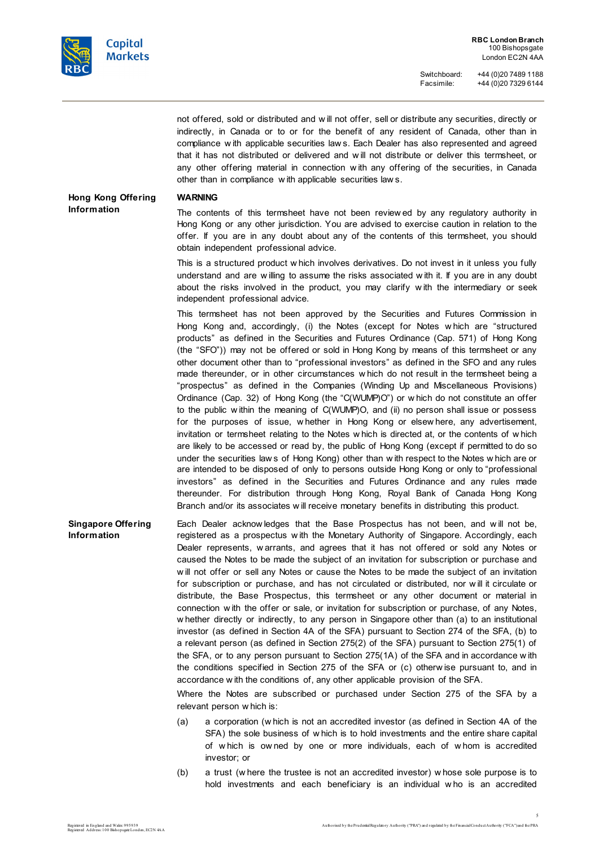

not offered, sold or distributed and w ill not offer, sell or distribute any securities, directly or indirectly, in Canada or to or for the benefit of any resident of Canada, other than in compliance w ith applicable securities law s. Each Dealer has also represented and agreed that it has not distributed or delivered and w ill not distribute or deliver this termsheet, or any other offering material in connection w ith any offering of the securities, in Canada other than in compliance w ith applicable securities law s.

**Hong Kong Offering Information**

#### **WARNING**

The contents of this termsheet have not been review ed by any regulatory authority in Hong Kong or any other jurisdiction. You are advised to exercise caution in relation to the offer. If you are in any doubt about any of the contents of this termsheet, you should obtain independent professional advice.

This is a structured product w hich involves derivatives. Do not invest in it unless you fully understand and are w illing to assume the risks associated w ith it. If you are in any doubt about the risks involved in the product, you may clarify w ith the intermediary or seek independent professional advice.

This termsheet has not been approved by the Securities and Futures Commission in Hong Kong and, accordingly, (i) the Notes (except for Notes w hich are "structured products" as defined in the Securities and Futures Ordinance (Cap. 571) of Hong Kong (the "SFO")) may not be offered or sold in Hong Kong by means of this termsheet or any other document other than to "professional investors" as defined in the SFO and any rules made thereunder, or in other circumstances w hich do not result in the termsheet being a "prospectus" as defined in the Companies (Winding Up and Miscellaneous Provisions) Ordinance (Cap. 32) of Hong Kong (the "C(WUMP)O") or w hich do not constitute an offer to the public w ithin the meaning of C(WUMP)O, and (ii) no person shall issue or possess for the purposes of issue, w hether in Hong Kong or elsew here, any advertisement, invitation or termsheet relating to the Notes w hich is directed at, or the contents of w hich are likely to be accessed or read by, the public of Hong Kong (except if permitted to do so under the securities law s of Hong Kong) other than w ith respect to the Notes w hich are or are intended to be disposed of only to persons outside Hong Kong or only to "professional investors" as defined in the Securities and Futures Ordinance and any rules made thereunder. For distribution through Hong Kong, Royal Bank of Canada Hong Kong Branch and/or its associates w ill receive monetary benefits in distributing this product.

**Singapore Offering Information** Each Dealer acknow ledges that the Base Prospectus has not been, and w ill not be, registered as a prospectus w ith the Monetary Authority of Singapore. Accordingly, each Dealer represents, w arrants, and agrees that it has not offered or sold any Notes or caused the Notes to be made the subject of an invitation for subscription or purchase and w ill not offer or sell any Notes or cause the Notes to be made the subject of an invitation for subscription or purchase, and has not circulated or distributed, nor w ill it circulate or distribute, the Base Prospectus, this termsheet or any other document or material in connection w ith the offer or sale, or invitation for subscription or purchase, of any Notes, w hether directly or indirectly, to any person in Singapore other than (a) to an institutional investor (as defined in Section 4A of the SFA) pursuant to Section 274 of the SFA, (b) to a relevant person (as defined in Section 275(2) of the SFA) pursuant to Section 275(1) of the SFA, or to any person pursuant to Section 275(1A) of the SFA and in accordance w ith the conditions specified in Section 275 of the SFA or (c) otherw ise pursuant to, and in accordance w ith the conditions of, any other applicable provision of the SFA.

> Where the Notes are subscribed or purchased under Section 275 of the SFA by a relevant person w hich is:

- (a) a corporation (w hich is not an accredited investor (as defined in Section 4A of the SFA) the sole business of w hich is to hold investments and the entire share capital of w hich is ow ned by one or more individuals, each of w hom is accredited investor; or
- (b) a trust (w here the trustee is not an accredited investor) w hose sole purpose is to hold investments and each beneficiary is an individual w ho is an accredited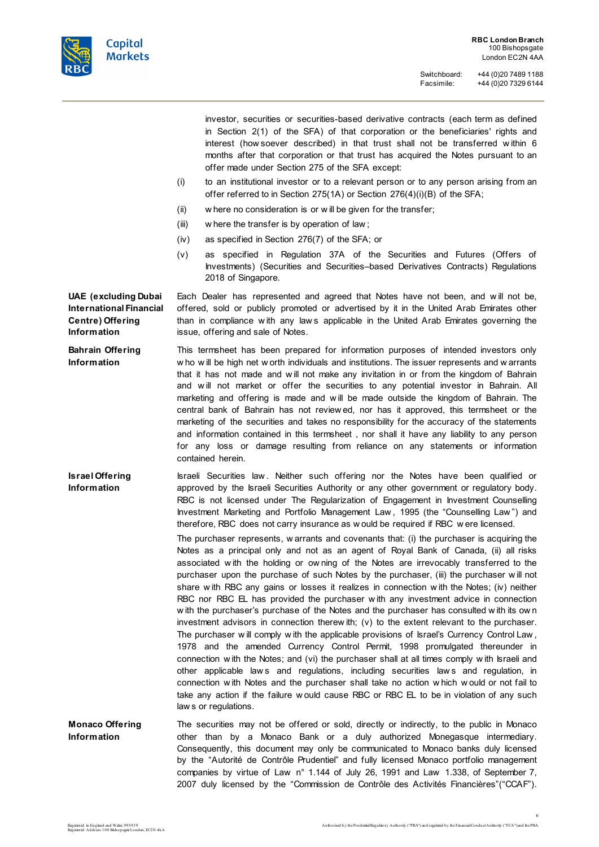

investor, securities or securities-based derivative contracts (each term as defined in Section 2(1) of the SFA) of that corporation or the beneficiaries' rights and interest (how soever described) in that trust shall not be transferred w ithin 6 months after that corporation or that trust has acquired the Notes pursuant to an offer made under Section 275 of the SFA except:

- (i) to an institutional investor or to a relevant person or to any person arising from an offer referred to in Section 275(1A) or Section 276(4)(i)(B) of the SFA;
- (ii) w here no consideration is or w ill be given for the transfer;
- (iii) w here the transfer is by operation of law ;
- (iv) as specified in Section 276(7) of the SFA; or
- (v) as specified in Regulation 37A of the Securities and Futures (Offers of Investments) (Securities and Securities–based Derivatives Contracts) Regulations 2018 of Singapore.

Each Dealer has represented and agreed that Notes have not been, and w ill not be, offered, sold or publicly promoted or advertised by it in the United Arab Emirates other than in compliance w ith any law s applicable in the United Arab Emirates governing the issue, offering and sale of Notes.

**Bahrain Offering Information** This termsheet has been prepared for information purposes of intended investors only w ho w ill be high net w orth individuals and institutions. The issuer represents and w arrants that it has not made and w ill not make any invitation in or from the kingdom of Bahrain and w ill not market or offer the securities to any potential investor in Bahrain. All marketing and offering is made and w ill be made outside the kingdom of Bahrain. The central bank of Bahrain has not review ed, nor has it approved, this termsheet or the marketing of the securities and takes no responsibility for the accuracy of the statements and information contained in this termsheet , nor shall it have any liability to any person for any loss or damage resulting from reliance on any statements or information contained herein.

**Israel Offering Information** Israeli Securities law . Neither such offering nor the Notes have been qualified or approved by the Israeli Securities Authority or any other government or regulatory body. RBC is not licensed under The Regularization of Engagement in Investment Counselling Investment Marketing and Portfolio Management Law , 1995 (the "Counselling Law ") and therefore, RBC does not carry insurance as w ould be required if RBC w ere licensed.

> The purchaser represents, w arrants and covenants that: (i) the purchaser is acquiring the Notes as a principal only and not as an agent of Royal Bank of Canada, (ii) all risks associated w ith the holding or ow ning of the Notes are irrevocably transferred to the purchaser upon the purchase of such Notes by the purchaser, (iii) the purchaser w ill not share w ith RBC any gains or losses it realizes in connection w ith the Notes; (iv) neither RBC nor RBC EL has provided the purchaser with any investment advice in connection w ith the purchaser's purchase of the Notes and the purchaser has consulted w ith its ow n investment advisors in connection therew ith; (v) to the extent relevant to the purchaser. The purchaser will comply with the applicable provisions of Israel's Currency Control Law, 1978 and the amended Currency Control Permit, 1998 promulgated thereunder in connection with the Notes; and (vi) the purchaser shall at all times comply with Israeli and other applicable laws and regulations, including securities laws and regulation, in connection w ith Notes and the purchaser shall take no action w hich w ould or not fail to take any action if the failure w ould cause RBC or RBC EL to be in violation of any such law s or regulations.

**Monaco Offering Information** The securities may not be offered or sold, directly or indirectly, to the public in Monaco other than by a Monaco Bank or a duly authorized Monegasque intermediary. Consequently, this document may only be communicated to Monaco banks duly licensed by the "Autorité de Contrôle Prudentiel" and fully licensed Monaco portfolio management companies by virtue of Law n° 1.144 of July 26, 1991 and Law 1.338, of September 7, 2007 duly licensed by the "Commission de Contrôle des Activités Financières"("CCAF").

**UAE (excluding Dubai** 

**International Financial Centre) Offering Information**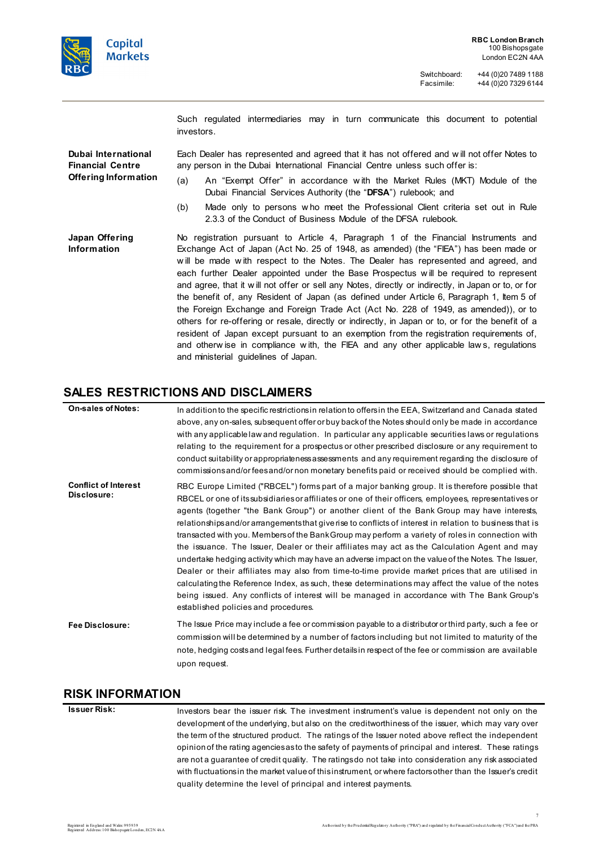

Such regulated intermediaries may in turn communicate this document to potential investors.

**Dubai International Financial Centre Offering Information** Each Dealer has represented and agreed that it has not offered and w ill not offer Notes to any person in the Dubai International Financial Centre unless such offer is:

- (a) An "Exempt Offer" in accordance w ith the Market Rules (MKT) Module of the Dubai Financial Services Authority (the "**DFSA**") rulebook; and
- (b) Made only to persons w ho meet the Professional Client criteria set out in Rule 2.3.3 of the Conduct of Business Module of the DFSA rulebook.

**Japan Offering Information** No registration pursuant to Article 4, Paragraph 1 of the Financial Instruments and Exchange Act of Japan (Act No. 25 of 1948, as amended) (the "FIEA") has been made or w ill be made w ith respect to the Notes. The Dealer has represented and agreed, and each further Dealer appointed under the Base Prospectus w ill be required to represent and agree, that it w ill not offer or sell any Notes, directly or indirectly, in Japan or to, or for the benefit of, any Resident of Japan (as defined under Article 6, Paragraph 1, Item 5 of the Foreign Exchange and Foreign Trade Act (Act No. 228 of 1949, as amended)), or to others for re-offering or resale, directly or indirectly, in Japan or to, or for the benefit of a resident of Japan except pursuant to an exemption from the registration requirements of, and otherw ise in compliance w ith, the FIEA and any other applicable law s, regulations and ministerial guidelines of Japan.

## **SALES RESTRICTIONS AND DISCLAIMERS**

| <b>On-sales of Notes:</b>                  | In addition to the specific restrictions in relation to offers in the EEA, Switzerland and Canada stated<br>above, any on-sales, subsequent offer or buy back of the Notes should only be made in accordance<br>with any applicable law and regulation. In particular any applicable securities laws or regulations<br>relating to the requirement for a prospectus or other prescribed disclosure or any requirement to<br>conduct suitability or appropriateness assessments and any requirement regarding the disclosure of<br>commissions and/or fees and/or non monetary benefits paid or received should be complied with.                                                                                                                                                                                                                                                                                                                                                                                                                                               |
|--------------------------------------------|--------------------------------------------------------------------------------------------------------------------------------------------------------------------------------------------------------------------------------------------------------------------------------------------------------------------------------------------------------------------------------------------------------------------------------------------------------------------------------------------------------------------------------------------------------------------------------------------------------------------------------------------------------------------------------------------------------------------------------------------------------------------------------------------------------------------------------------------------------------------------------------------------------------------------------------------------------------------------------------------------------------------------------------------------------------------------------|
| <b>Conflict of Interest</b><br>Disclosure: | RBC Europe Limited ("RBCEL") forms part of a major banking group. It is therefore possible that<br>RBCEL or one of its subsidiaries or affiliates or one of their officers, employees, representatives or<br>agents (together "the Bank Group") or another client of the Bank Group may have interests,<br>relationships and/or arrangements that give rise to conflicts of interest in relation to business that is<br>transacted with you. Members of the Bank Group may perform a variety of roles in connection with<br>the issuance. The Issuer, Dealer or their affiliates may act as the Calculation Agent and may<br>undertake hedging activity which may have an adverse impact on the value of the Notes. The Issuer,<br>Dealer or their affiliates may also from time-to-time provide market prices that are utilised in<br>calculating the Reference Index, as such, these determinations may affect the value of the notes<br>being issued. Any conflicts of interest will be managed in accordance with The Bank Group's<br>established policies and procedures. |
| Fee Disclosure:                            | The Issue Price may include a fee or commission payable to a distributor or third party, such a fee or<br>commission will be determined by a number of factors including but not limited to maturity of the<br>note, hedging costs and legal fees. Further details in respect of the fee or commission are available<br>upon request.                                                                                                                                                                                                                                                                                                                                                                                                                                                                                                                                                                                                                                                                                                                                          |

#### **RISK INFORMATION**

**Issuer Risk:** Investors bear the issuer risk. The investment instrument's value is dependent not only on the development of the underlying, but also on the creditworthiness of the issuer, which may vary over the term of the structured product. The ratings of the Issuer noted above reflect the independent opinion of the rating agencies as to the safety of payments of principal and interest. These ratings are not a guarantee of credit quality. The ratings do not take into consideration any risk associated with fluctuations in the market value of thisinstrument, or where factors other than the Issuer's credit quality determine the level of principal and interest payments.